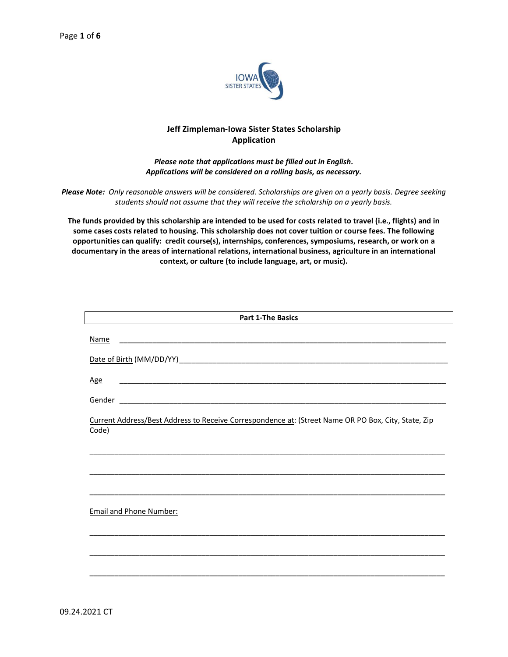

## **Jeff Zimpleman-Iowa Sister States Scholarship Application**

## *Please note that applications must be filled out in English. Applications will be considered on a rolling basis, as necessary.*

*Please Note: Only reasonable answers will be considered. Scholarships are given on a yearly basis. Degree seeking students should not assume that they will receive the scholarship on a yearly basis.*

**The funds provided by this scholarship are intended to be used for costs related to travel (i.e., flights) and in some cases costs related to housing. This scholarship does not cover tuition or course fees. The following opportunities can qualify: credit course(s), internships, conferences, symposiums, research, or work on a documentary in the areas of international relations, international business, agriculture in an international context, or culture (to include language, art, or music).**

| <b>Part 1-The Basics</b>                                                                                     |
|--------------------------------------------------------------------------------------------------------------|
| <b>Name</b>                                                                                                  |
|                                                                                                              |
| <b>Age</b><br><u> 2008 - Jan James James Barnett, amerikansk politik (d. 1888)</u>                           |
|                                                                                                              |
| Current Address/Best Address to Receive Correspondence at: (Street Name OR PO Box, City, State, Zip<br>Code) |
|                                                                                                              |
|                                                                                                              |
| <b>Email and Phone Number:</b>                                                                               |
|                                                                                                              |
|                                                                                                              |
|                                                                                                              |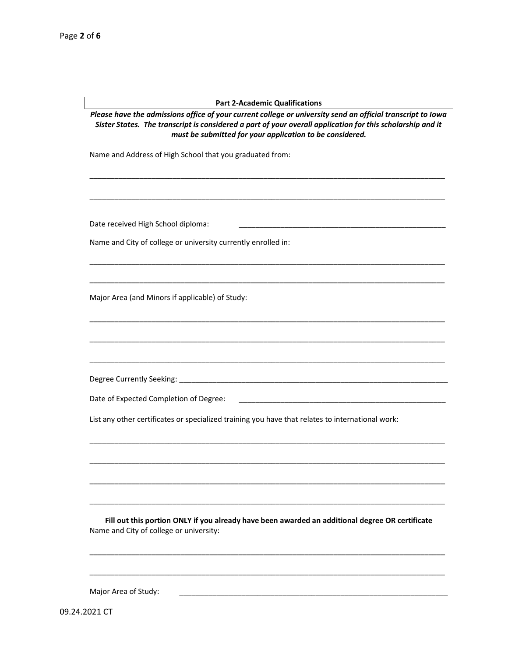## **Part 2-Academic Qualifications**

*Please have the admissions office of your current college or university send an official transcript to Iowa Sister States. The transcript is considered a part of your overall application for this scholarship and it must be submitted for your application to be considered.*

\_\_\_\_\_\_\_\_\_\_\_\_\_\_\_\_\_\_\_\_\_\_\_\_\_\_\_\_\_\_\_\_\_\_\_\_\_\_\_\_\_\_\_\_\_\_\_\_\_\_\_\_\_\_\_\_\_\_\_\_\_\_\_\_\_\_\_\_\_\_\_\_\_\_\_\_\_\_\_\_\_\_\_\_\_\_

\_\_\_\_\_\_\_\_\_\_\_\_\_\_\_\_\_\_\_\_\_\_\_\_\_\_\_\_\_\_\_\_\_\_\_\_\_\_\_\_\_\_\_\_\_\_\_\_\_\_\_\_\_\_\_\_\_\_\_\_\_\_\_\_\_\_\_\_\_\_\_\_\_\_\_\_\_\_\_\_\_\_\_\_\_\_

\_\_\_\_\_\_\_\_\_\_\_\_\_\_\_\_\_\_\_\_\_\_\_\_\_\_\_\_\_\_\_\_\_\_\_\_\_\_\_\_\_\_\_\_\_\_\_\_\_\_\_\_\_\_\_\_\_\_\_\_\_\_\_\_\_\_\_\_\_\_\_\_\_\_\_\_\_\_\_\_\_\_\_\_\_\_

\_\_\_\_\_\_\_\_\_\_\_\_\_\_\_\_\_\_\_\_\_\_\_\_\_\_\_\_\_\_\_\_\_\_\_\_\_\_\_\_\_\_\_\_\_\_\_\_\_\_\_\_\_\_\_\_\_\_\_\_\_\_\_\_\_\_\_\_\_\_\_\_\_\_\_\_\_\_\_\_\_\_\_\_\_\_

\_\_\_\_\_\_\_\_\_\_\_\_\_\_\_\_\_\_\_\_\_\_\_\_\_\_\_\_\_\_\_\_\_\_\_\_\_\_\_\_\_\_\_\_\_\_\_\_\_\_\_\_\_\_\_\_\_\_\_\_\_\_\_\_\_\_\_\_\_\_\_\_\_\_\_\_\_\_\_\_\_\_\_\_\_\_

\_\_\_\_\_\_\_\_\_\_\_\_\_\_\_\_\_\_\_\_\_\_\_\_\_\_\_\_\_\_\_\_\_\_\_\_\_\_\_\_\_\_\_\_\_\_\_\_\_\_\_\_\_\_\_\_\_\_\_\_\_\_\_\_\_\_\_\_\_\_\_\_\_\_\_\_\_\_\_\_\_\_\_\_\_\_

\_\_\_\_\_\_\_\_\_\_\_\_\_\_\_\_\_\_\_\_\_\_\_\_\_\_\_\_\_\_\_\_\_\_\_\_\_\_\_\_\_\_\_\_\_\_\_\_\_\_\_\_\_\_\_\_\_\_\_\_\_\_\_\_\_\_\_\_\_\_\_\_\_\_\_\_\_\_\_\_\_\_\_\_\_\_

\_\_\_\_\_\_\_\_\_\_\_\_\_\_\_\_\_\_\_\_\_\_\_\_\_\_\_\_\_\_\_\_\_\_\_\_\_\_\_\_\_\_\_\_\_\_\_\_\_\_\_\_\_\_\_\_\_\_\_\_\_\_\_\_\_\_\_\_\_\_\_\_\_\_\_\_\_\_\_\_\_\_\_\_\_\_

\_\_\_\_\_\_\_\_\_\_\_\_\_\_\_\_\_\_\_\_\_\_\_\_\_\_\_\_\_\_\_\_\_\_\_\_\_\_\_\_\_\_\_\_\_\_\_\_\_\_\_\_\_\_\_\_\_\_\_\_\_\_\_\_\_\_\_\_\_\_\_\_\_\_\_\_\_\_\_\_\_\_\_\_\_\_

\_\_\_\_\_\_\_\_\_\_\_\_\_\_\_\_\_\_\_\_\_\_\_\_\_\_\_\_\_\_\_\_\_\_\_\_\_\_\_\_\_\_\_\_\_\_\_\_\_\_\_\_\_\_\_\_\_\_\_\_\_\_\_\_\_\_\_\_\_\_\_\_\_\_\_\_\_\_\_\_\_\_\_\_\_\_

\_\_\_\_\_\_\_\_\_\_\_\_\_\_\_\_\_\_\_\_\_\_\_\_\_\_\_\_\_\_\_\_\_\_\_\_\_\_\_\_\_\_\_\_\_\_\_\_\_\_\_\_\_\_\_\_\_\_\_\_\_\_\_\_\_\_\_\_\_\_\_\_\_\_\_\_\_\_\_\_\_\_\_\_\_\_

Name and Address of High School that you graduated from:

Date received High School diploma:

Name and City of college or university currently enrolled in:

Major Area (and Minors if applicable) of Study:

Degree Currently Seeking: \_\_\_\_\_\_\_\_\_\_\_\_\_\_\_\_\_\_\_\_\_\_\_\_\_\_\_\_\_\_\_\_\_\_\_\_\_\_\_\_\_\_\_\_\_\_\_\_\_\_\_\_\_\_\_\_\_\_\_\_\_\_\_\_\_

Date of Expected Completion of Degree: \_\_\_

List any other certificates or specialized training you have that relates to international work:

**Fill out this portion ONLY if you already have been awarded an additional degree OR certificate** Name and City of college or university:

\_\_\_\_\_\_\_\_\_\_\_\_\_\_\_\_\_\_\_\_\_\_\_\_\_\_\_\_\_\_\_\_\_\_\_\_\_\_\_\_\_\_\_\_\_\_\_\_\_\_\_\_\_\_\_\_\_\_\_\_\_\_\_\_\_\_\_\_\_\_\_\_\_\_\_\_\_\_\_\_\_\_\_\_\_\_

\_\_\_\_\_\_\_\_\_\_\_\_\_\_\_\_\_\_\_\_\_\_\_\_\_\_\_\_\_\_\_\_\_\_\_\_\_\_\_\_\_\_\_\_\_\_\_\_\_\_\_\_\_\_\_\_\_\_\_\_\_\_\_\_\_\_\_\_\_\_\_\_\_\_\_\_\_\_\_\_\_\_\_\_\_\_

Major Area of Study:

09.24.2021 CT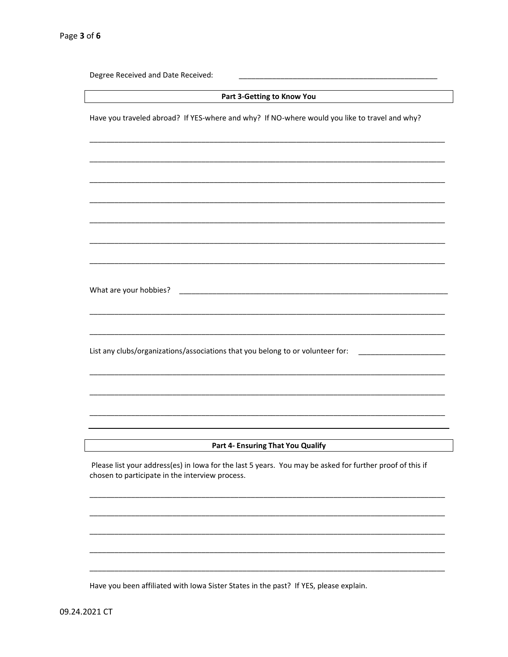| Degree Received and Date Received:                                                                                                                          |
|-------------------------------------------------------------------------------------------------------------------------------------------------------------|
| Part 3-Getting to Know You                                                                                                                                  |
| Have you traveled abroad? If YES-where and why? If NO-where would you like to travel and why?                                                               |
|                                                                                                                                                             |
|                                                                                                                                                             |
|                                                                                                                                                             |
|                                                                                                                                                             |
| What are your hobbies?<br><u> 1989 - Johann John Stone, mars eta biztanleria (h. 1982).</u>                                                                 |
| List any clubs/organizations/associations that you belong to or volunteer for:                                                                              |
|                                                                                                                                                             |
|                                                                                                                                                             |
| Part 4- Ensuring That You Qualify                                                                                                                           |
| Please list your address(es) in Iowa for the last 5 years. You may be asked for further proof of this if<br>chosen to participate in the interview process. |
|                                                                                                                                                             |
|                                                                                                                                                             |
|                                                                                                                                                             |

Have you been affiliated with Iowa Sister States in the past? If YES, please explain.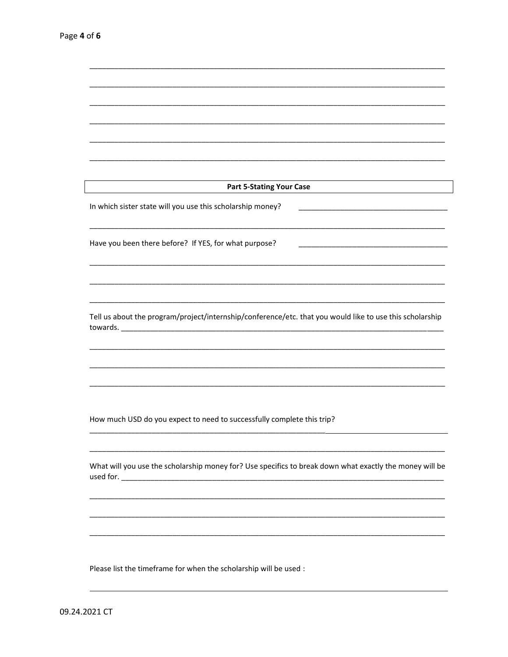| <b>Part 5-Stating Your Case</b>                                                                          |
|----------------------------------------------------------------------------------------------------------|
| In which sister state will you use this scholarship money?                                               |
| Have you been there before? If YES, for what purpose?                                                    |
|                                                                                                          |
|                                                                                                          |
| Tell us about the program/project/internship/conference/etc. that you would like to use this scholarship |
|                                                                                                          |
|                                                                                                          |
|                                                                                                          |
| How much USD do you expect to need to successfully complete this trip?                                   |
| What will you use the scholarship money for? Use specifics to break down what exactly the money will be  |
|                                                                                                          |
|                                                                                                          |
|                                                                                                          |
| Please list the timeframe for when the scholarship will be used :                                        |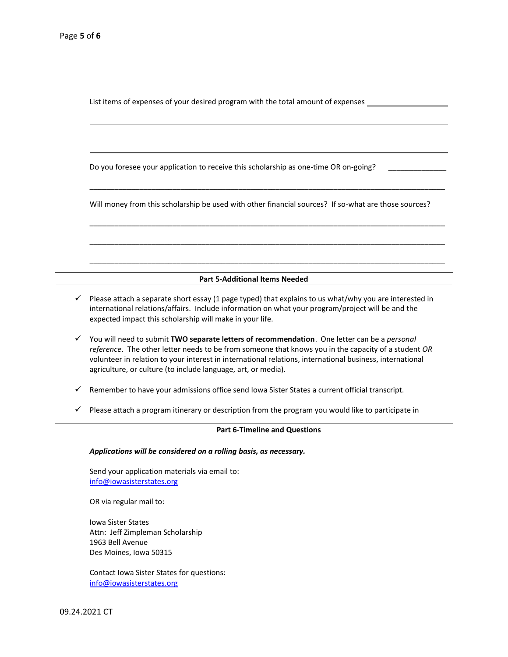List items of expenses of your desired program with the total amount of expenses

Do you foresee your application to receive this scholarship as one-time OR on-going?

Will money from this scholarship be used with other financial sources? If so-what are those sources?

\_\_\_\_\_\_\_\_\_\_\_\_\_\_\_\_\_\_\_\_\_\_\_\_\_\_\_\_\_\_\_\_\_\_\_\_\_\_\_\_\_\_\_\_\_\_\_\_\_\_\_\_\_\_\_\_\_\_\_\_\_\_\_\_\_\_\_\_\_\_\_\_\_\_\_\_\_\_\_\_\_\_\_\_\_\_

\_\_\_\_\_\_\_\_\_\_\_\_\_\_\_\_\_\_\_\_\_\_\_\_\_\_\_\_\_\_\_\_\_\_\_\_\_\_\_\_\_\_\_\_\_\_\_\_\_\_\_\_\_\_\_\_\_\_\_\_\_\_\_\_\_\_\_\_\_\_\_\_\_\_\_\_\_\_\_\_\_\_\_\_\_\_

\_\_\_\_\_\_\_\_\_\_\_\_\_\_\_\_\_\_\_\_\_\_\_\_\_\_\_\_\_\_\_\_\_\_\_\_\_\_\_\_\_\_\_\_\_\_\_\_\_\_\_\_\_\_\_\_\_\_\_\_\_\_\_\_\_\_\_\_\_\_\_\_\_\_\_\_\_\_\_\_\_\_\_\_\_\_

\_\_\_\_\_\_\_\_\_\_\_\_\_\_\_\_\_\_\_\_\_\_\_\_\_\_\_\_\_\_\_\_\_\_\_\_\_\_\_\_\_\_\_\_\_\_\_\_\_\_\_\_\_\_\_\_\_\_\_\_\_\_\_\_\_\_\_\_\_\_\_\_\_\_\_\_\_\_\_\_\_\_\_\_\_\_

**Part 5-Additional Items Needed**

- $\checkmark$  Please attach a separate short essay (1 page typed) that explains to us what/why you are interested in international relations/affairs. Include information on what your program/project will be and the expected impact this scholarship will make in your life.
- ✓ You will need to submit **TWO separate letters of recommendation**. One letter can be a *personal reference*. The other letter needs to be from someone that knows you in the capacity of a student *OR* volunteer in relation to your interest in international relations, international business, international agriculture, or culture (to include language, art, or media).
- ✓ Remember to have your admissions office send Iowa Sister States a current official transcript.
- ✓ Please attach a program itinerary or description from the program you would like to participate in

## **Part 6-Timeline and Questions**

*Applications will be considered on a rolling basis, as necessary.* 

Send your application materials via email to: [info@iowasisterstates.org](mailto:info@iowasisterstates.org)

OR via regular mail to:

Iowa Sister States Attn: Jeff Zimpleman Scholarship 1963 Bell Avenue Des Moines, Iowa 50315

Contact Iowa Sister States for questions: [info@iowasisterstates.org](mailto:info@iowasisterstates.org)